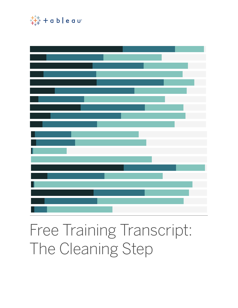

# Free Training Transcript: The Cleaning Step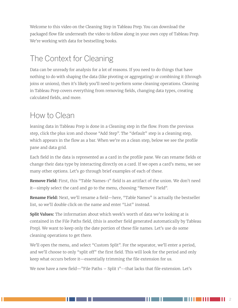Welcome to this video on the Cleaning Step in Tableau Prep. You can download the packaged flow file underneath the video to follow along in your own copy of Tableau Prep. We're working with data for bestselling books.

## The Context for Cleaning

Data can be unready for analysis for a lot of reasons. If you need to do things that have nothing to do with shaping the data (like pivoting or aggregating) or combining it (through joins or unions), then it's likely you'll need to perform some cleaning operations. Cleaning in Tableau Prep covers everything from removing fields, changing data types, creating calculated fields, and more.

#### How to Clean

leaning data in Tableau Prep is done in a Cleaning step in the flow. From the previous step, click the plus icon and choose "Add Step". The "default" step is a cleaning step, which appears in the flow as a bar. When we're on a clean step, below we see the profile pane and data grid.

Each field in the data is represented as a card in the profile pane. We can rename fields or change their data type by interacting directly on a card. If we open a card's menu, we see many other options. Let's go through brief examples of each of these.

**Remove Field:** First, this "Table Names-1" field is an artifact of the union. We don't need it—simply select the card and go to the menu, choosing "Remove Field".

**Rename Field:** Next, we'll rename a field—here, "Table Names" is actually the bestseller list, so we'll double click on the name and enter "List" instead.

**Split Values:** The information about which week's worth of data we're looking at is contained in the File Paths field, (this is another field generated automatically by Tableau Prep). We want to keep only the date portion of these file names. Let's use do some cleaning operations to get there.

We'll open the menu, and select "Custom Split". For the separator, we'll enter a period, and we'll choose to only "split off" the first field. This will look for the period and only keep what occurs before it—essentially trimming the file extension for us.

We now have a new field—"File Paths – Split 1"--that lacks that file extension. Let's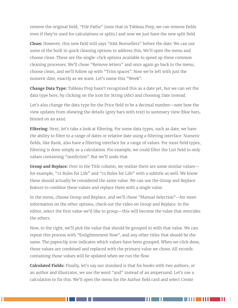remove the original field, "File Paths" (note that in Tableau Prep, we can remove fields even if they're used for calculations or splits.) and now we just have the new split field.

**Clean:** However, this new field still says "ABA Bestsellers" before the date. We can use some of the built in quick cleaning options to address this. We'll open the menu and choose clean. These are the single-click options available to speed up these common cleaning processes. We'll chose "Remove letters" and once again go back to the menu, choose clean, and we'll follow up with "Trim spaces". Now we're left with just the numeric date, exactly as we want. Let's name this "Week".

**Change Data Type:** Tableau Prep hasn't recognized this as a date yet, but we can set the data type here, by clicking on the icon for String (Abc) and choosing Date instead.

Let's also change the data type for the Price field to be a decimal number—note how the view updates from showing the details (grey bars with text) to summary view (blue bars, binned on an axis).

**Filtering:** Next, let's take a look at filtering. For some data types, such as date, we have the ability to filter to a range of dates or relative date using a filtering interface. Numeric fields, like Rank, also have a filtering interface for a range of values. For most field types, filtering is done simply as a calculation. For example, we could filter the List field to only values containing "nonfiction". But we'll undo that.

**Group and Replace:** Over in the Title column, we realize there are some similar values for example, "12 Rules for Life" and "12 Rules for Life" with a subtitle as well. We know these should actually be considered the same value. We can use the Group and Replace feature to combine these values and replace them with a single value.

In the menu, choose Group and Replace, and we'll chose "Manual Selection"—for more information on the other options, check out the video on Group and Replace. In the editor, select the first value we'd like to group—this will become the value that overrides the others.

Now, to the right, we'll pick the value that should be grouped in with that value. We can repeat this process with "Enlightenment Now", and any other titles that should be the same. The paperclip icon indicates which values have been grouped. When we click done, those values are combined and replaced with the primary value we chose. All records containing those values will be updated when we run the flow.

**Calculated Fields:** Finally, let's say our standard is that for books with two authors, or an author and illustrator, we use the word "and" instead of an ampersand. Let's use a calculation to fix this. We'll open the menu for the Author field card and select Create